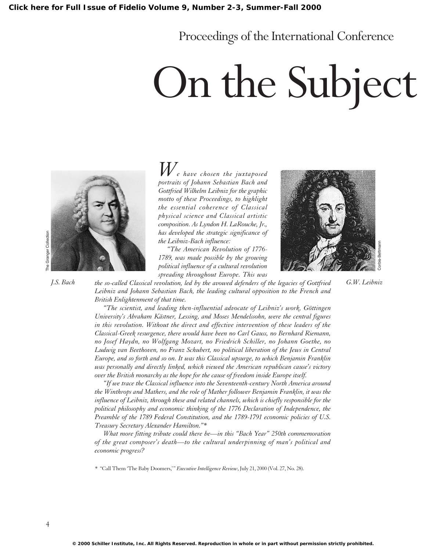### Proceedings of the International Conference

## On the Subject



*We have chosen the juxtaposed portraits of Johann Sebastian Bach and Gottfried Wilhelm Leibniz for the graphic motto of these Proceedings, to highlight the essential coherence of Classical physical science and Classical artistic composition. As Lyndon H. LaRouche, Jr., has developed the strategic significance of the Leibniz-Bach influence:*

*"The American Revolution of 1776- 1789, was made possible by the growing political influence of a cultural revolution spreading throughout Europe. This was*



*the so-called Classical revolution, led by the avowed defenders of the legacies of Gottfried J.S. Bach G.W. Leibniz Leibniz and Johann Sebastian Bach, the leading cultural opposition to the French and British Enlightenment of that time.*

> *"The scientist, and leading then-influential advocate of Leibniz's work, Göttingen University's Abraham Kästner, Lessing, and Moses Mendelssohn, were the central figures in this revolution. Without the direct and effective intervention of these leaders of the Classical-Greek resurgence, there would have been no Carl Gauss, no Bernhard Riemann, no Josef Haydn, no Wolfgang Mozart, no Friedrich Schiller, no Johann Goethe, no Ludwig van Beethoven, no Franz Schubert, no political liberation of the Jews in Central Europe, and so forth and so on. It was this Classical upsurge, to which Benjamin Franklin was personally and directly linked, which viewed the American republican cause's victory over the British monarchy as the hope for the cause of freedom inside Europe itself.*

> *"If we trace the Classical influence into the Seventeenth-century North America around the Winthrops and Mathers, and the role of Mather follower Benjamin Franklin, it was the influence of Leibniz, through these and related channels, which is chiefly responsible for the political philosophy and economic thinking of the 1776 Declaration of Independence, the Preamble of the 1789 Federal Constitution, and the 1789-1791 economic policies of U.S. Treasury Secretary Alexander Hamilton."\**

> *What more fitting tribute could there be—in this "Bach Year" 250th commemoration of the great composer's death—to the cultural underpinning of man's political and economic progress?*

*\** "Call Them 'The Baby Doomers,'" *Executive Intelligence Review*, July 21, 2000 (Vol. 27, No. 28).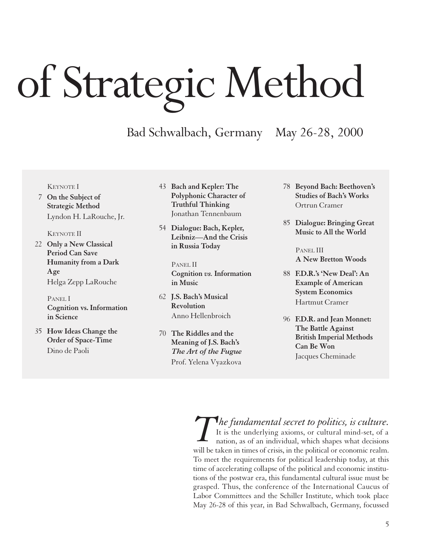# of Strategic Method

Bad Schwalbach, Germany May 26-28, 2000

#### KEYNOTE I

7 **On the Subject of Strategic Method** Lyndon H. LaRouche, Jr.

#### KEYNOTE II

22 **Only a New Classical Period Can Save Humanity from a Dark Age** Helga Zepp LaRouche

> PANEL I **Cognition vs. Information in Science**

35 **How Ideas Change the Order of Space-Time** Dino de Paoli

- 43 **Bach and Kepler: The Polyphonic Character of Truthful Thinking** Jonathan Tennenbaum
- 54 **Dialogue: Bach, Kepler, Leibniz—And the Crisis in Russia Today**

PANEL II **Cognition** *vs.* **Information in Music**

- 62 **J.S. Bach's Musical Revolution** Anno Hellenbroich
- 70 **The Riddles and the Meaning of J.S. Bach's** *The Art of the Fugue* Prof. Yelena Vyazkova
- 78 **Beyond Bach: Beethoven's Studies of Bach's Works** Ortrun Cramer
- 85 **Dialogue: Bringing Great Music to All the World**

PANEL III **A New Bretton Woods**

- 88 **F.D.R.'s 'New Deal': An Example of American System Economics** Hartmut Cramer
- 96 **F.D.R. and Jean Monnet: The Battle Against British Imperial Methods Can Be Won** Jacques Cheminade

It is the underlying axioms, or cultural mind-set, of a nation, as of an individual, which shapes what decisions will be taken in times of crisis, in the political or economic realm. To meet the requirements for political leadership today, at this time of accelerating collapse of the political and economic institutions of the postwar era, this fundamental cultural issue must be grasped. Thus, the conference of the International Caucus of Labor Committees and the Schiller Institute, which took place May 26-28 of this year, in Bad Schwalbach, Germany, focussed *The fundamental secret to politics, is culture.*<br>It is the underlying axioms, or cultural mind-set, of a nation, as of an individual, which shapes what decisions will be taken in times of crisis in the political or econom